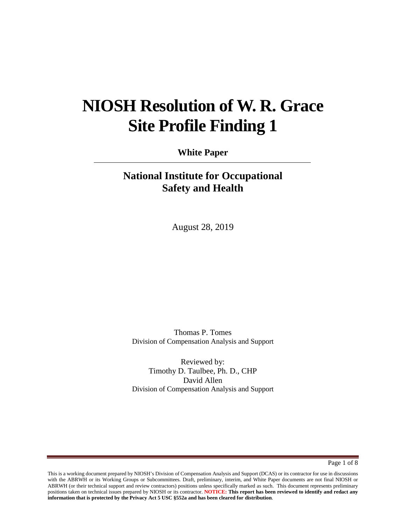# **NIOSH Resolution of W. R. Grace Site Profile Finding 1**

**White Paper**

# **National Institute for Occupational Safety and Health**

August 28, 2019

Thomas P. Tomes Division of Compensation Analysis and Support

Reviewed by: Timothy D. Taulbee, Ph. D., CHP David Allen Division of Compensation Analysis and Support

Page 1 of 8

This is a working document prepared by NIOSH's Division of Compensation Analysis and Support (DCAS) or its contractor for use in discussions with the ABRWH or its Working Groups or Subcommittees. Draft, preliminary, interim, and White Paper documents are not final NIOSH or ABRWH (or their technical support and review contractors) positions unless specifically marked as such. This document represents preliminary positions taken on technical issues prepared by NIOSH or its contractor. **NOTICE: This report has been reviewed to identify and redact any information that is protected by the Privacy Act 5 USC §552a and has been cleared for distribution**.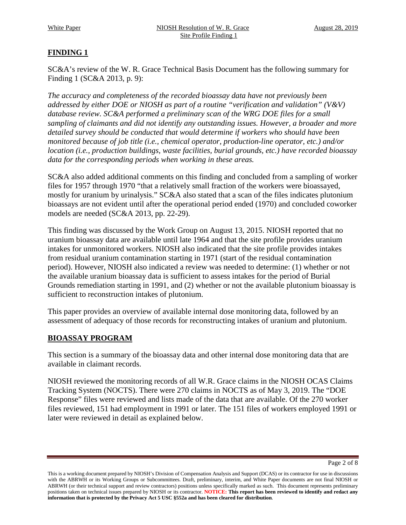## **FINDING 1**

SC&A's review of the W. R. Grace Technical Basis Document has the following summary for Finding 1 (SC&A 2013, p. 9):

*The accuracy and completeness of the recorded bioassay data have not previously been addressed by either DOE or NIOSH as part of a routine "verification and validation" (V&V) database review. SC&A performed a preliminary scan of the WRG DOE files for a small sampling of claimants and did not identify any outstanding issues. However, a broader and more detailed survey should be conducted that would determine if workers who should have been monitored because of job title (i.e., chemical operator, production-line operator, etc.) and/or location (i.e., production buildings, waste facilities, burial grounds, etc.) have recorded bioassay data for the corresponding periods when working in these areas.* 

SC&A also added additional comments on this finding and concluded from a sampling of worker files for 1957 through 1970 "that a relatively small fraction of the workers were bioassayed, mostly for uranium by urinalysis." SC&A also stated that a scan of the files indicates plutonium bioassays are not evident until after the operational period ended (1970) and concluded coworker models are needed (SC&A 2013, pp. 22-29).

This finding was discussed by the Work Group on August 13, 2015. NIOSH reported that no uranium bioassay data are available until late 1964 and that the site profile provides uranium intakes for unmonitored workers. NIOSH also indicated that the site profile provides intakes from residual uranium contamination starting in 1971 (start of the residual contamination period). However, NIOSH also indicated a review was needed to determine: (1) whether or not the available uranium bioassay data is sufficient to assess intakes for the period of Burial Grounds remediation starting in 1991, and (2) whether or not the available plutonium bioassay is sufficient to reconstruction intakes of plutonium.

This paper provides an overview of available internal dose monitoring data, followed by an assessment of adequacy of those records for reconstructing intakes of uranium and plutonium.

#### **BIOASSAY PROGRAM**

This section is a summary of the bioassay data and other internal dose monitoring data that are available in claimant records.

NIOSH reviewed the monitoring records of all W.R. Grace claims in the NIOSH OCAS Claims Tracking System (NOCTS). There were 270 claims in NOCTS as of May 3, 2019. The "DOE Response" files were reviewed and lists made of the data that are available. Of the 270 worker files reviewed, 151 had employment in 1991 or later. The 151 files of workers employed 1991 or later were reviewed in detail as explained below.

Page 2 of 8

This is a working document prepared by NIOSH's Division of Compensation Analysis and Support (DCAS) or its contractor for use in discussions with the ABRWH or its Working Groups or Subcommittees. Draft, preliminary, interim, and White Paper documents are not final NIOSH or ABRWH (or their technical support and review contractors) positions unless specifically marked as such. This document represents preliminary positions taken on technical issues prepared by NIOSH or its contractor. **NOTICE: This report has been reviewed to identify and redact any information that is protected by the Privacy Act 5 USC §552a and has been cleared for distribution**.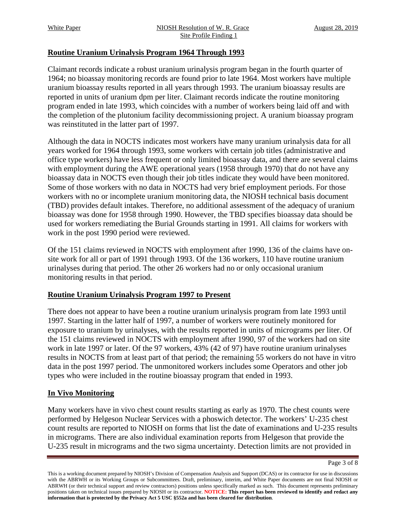#### **Routine Uranium Urinalysis Program 1964 Through 1993**

Claimant records indicate a robust uranium urinalysis program began in the fourth quarter of 1964; no bioassay monitoring records are found prior to late 1964. Most workers have multiple uranium bioassay results reported in all years through 1993. The uranium bioassay results are reported in units of uranium dpm per liter. Claimant records indicate the routine monitoring program ended in late 1993, which coincides with a number of workers being laid off and with the completion of the plutonium facility decommissioning project. A uranium bioassay program was reinstituted in the latter part of 1997.

Although the data in NOCTS indicates most workers have many uranium urinalysis data for all years worked for 1964 through 1993, some workers with certain job titles (administrative and office type workers) have less frequent or only limited bioassay data, and there are several claims with employment during the AWE operational years (1958 through 1970) that do not have any bioassay data in NOCTS even though their job titles indicate they would have been monitored. Some of those workers with no data in NOCTS had very brief employment periods. For those workers with no or incomplete uranium monitoring data, the NIOSH technical basis document (TBD) provides default intakes. Therefore, no additional assessment of the adequacy of uranium bioassay was done for 1958 through 1990. However, the TBD specifies bioassay data should be used for workers remediating the Burial Grounds starting in 1991. All claims for workers with work in the post 1990 period were reviewed.

Of the 151 claims reviewed in NOCTS with employment after 1990, 136 of the claims have onsite work for all or part of 1991 through 1993. Of the 136 workers, 110 have routine uranium urinalyses during that period. The other 26 workers had no or only occasional uranium monitoring results in that period.

#### **Routine Uranium Urinalysis Program 1997 to Present**

There does not appear to have been a routine uranium urinalysis program from late 1993 until 1997. Starting in the latter half of 1997, a number of workers were routinely monitored for exposure to uranium by urinalyses, with the results reported in units of micrograms per liter. Of the 151 claims reviewed in NOCTS with employment after 1990, 97 of the workers had on site work in late 1997 or later. Of the 97 workers, 43% (42 of 97) have routine uranium urinalyses results in NOCTS from at least part of that period; the remaining 55 workers do not have in vitro data in the post 1997 period. The unmonitored workers includes some Operators and other job types who were included in the routine bioassay program that ended in 1993.

#### **In Vivo Monitoring**

Many workers have in vivo chest count results starting as early as 1970. The chest counts were performed by Helgeson Nuclear Services with a phoswich detector. The workers' U-235 chest count results are reported to NIOSH on forms that list the date of examinations and U-235 results in micrograms. There are also individual examination reports from Helgeson that provide the U-235 result in micrograms and the two sigma uncertainty. Detection limits are not provided in

Page 3 of 8

This is a working document prepared by NIOSH's Division of Compensation Analysis and Support (DCAS) or its contractor for use in discussions with the ABRWH or its Working Groups or Subcommittees. Draft, preliminary, interim, and White Paper documents are not final NIOSH or ABRWH (or their technical support and review contractors) positions unless specifically marked as such. This document represents preliminary positions taken on technical issues prepared by NIOSH or its contractor. **NOTICE: This report has been reviewed to identify and redact any information that is protected by the Privacy Act 5 USC §552a and has been cleared for distribution**.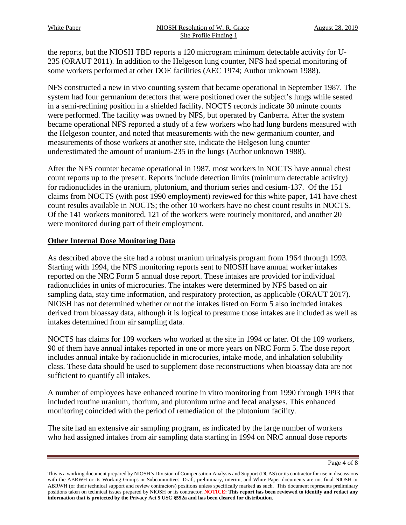the reports, but the NIOSH TBD reports a 120 microgram minimum detectable activity for U-235 (ORAUT 2011). In addition to the Helgeson lung counter, NFS had special monitoring of some workers performed at other DOE facilities (AEC 1974; Author unknown 1988).

NFS constructed a new in vivo counting system that became operational in September 1987. The system had four germanium detectors that were positioned over the subject's lungs while seated in a semi-reclining position in a shielded facility. NOCTS records indicate 30 minute counts were performed. The facility was owned by NFS, but operated by Canberra. After the system became operational NFS reported a study of a few workers who had lung burdens measured with the Helgeson counter, and noted that measurements with the new germanium counter, and measurements of those workers at another site, indicate the Helgeson lung counter underestimated the amount of uranium-235 in the lungs (Author unknown 1988).

After the NFS counter became operational in 1987, most workers in NOCTS have annual chest count reports up to the present. Reports include detection limits (minimum detectable activity) for radionuclides in the uranium, plutonium, and thorium series and cesium-137. Of the 151 claims from NOCTS (with post 1990 employment) reviewed for this white paper, 141 have chest count results available in NOCTS; the other 10 workers have no chest count results in NOCTS. Of the 141 workers monitored, 121 of the workers were routinely monitored, and another 20 were monitored during part of their employment.

#### **Other Internal Dose Monitoring Data**

As described above the site had a robust uranium urinalysis program from 1964 through 1993. Starting with 1994, the NFS monitoring reports sent to NIOSH have annual worker intakes reported on the NRC Form 5 annual dose report. These intakes are provided for individual radionuclides in units of microcuries. The intakes were determined by NFS based on air sampling data, stay time information, and respiratory protection, as applicable (ORAUT 2017). NIOSH has not determined whether or not the intakes listed on Form 5 also included intakes derived from bioassay data, although it is logical to presume those intakes are included as well as intakes determined from air sampling data.

NOCTS has claims for 109 workers who worked at the site in 1994 or later. Of the 109 workers, 90 of them have annual intakes reported in one or more years on NRC Form 5. The dose report includes annual intake by radionuclide in microcuries, intake mode, and inhalation solubility class. These data should be used to supplement dose reconstructions when bioassay data are not sufficient to quantify all intakes.

A number of employees have enhanced routine in vitro monitoring from 1990 through 1993 that included routine uranium, thorium, and plutonium urine and fecal analyses. This enhanced monitoring coincided with the period of remediation of the plutonium facility.

The site had an extensive air sampling program, as indicated by the large number of workers who had assigned intakes from air sampling data starting in 1994 on NRC annual dose reports

This is a working document prepared by NIOSH's Division of Compensation Analysis and Support (DCAS) or its contractor for use in discussions with the ABRWH or its Working Groups or Subcommittees. Draft, preliminary, interim, and White Paper documents are not final NIOSH or ABRWH (or their technical support and review contractors) positions unless specifically marked as such. This document represents preliminary positions taken on technical issues prepared by NIOSH or its contractor. **NOTICE: This report has been reviewed to identify and redact any information that is protected by the Privacy Act 5 USC §552a and has been cleared for distribution**.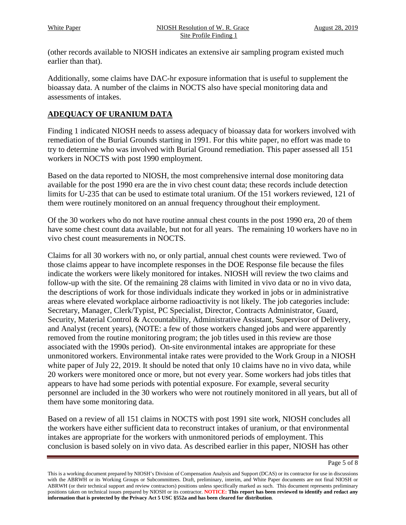(other records available to NIOSH indicates an extensive air sampling program existed much earlier than that).

Additionally, some claims have DAC-hr exposure information that is useful to supplement the bioassay data. A number of the claims in NOCTS also have special monitoring data and assessments of intakes.

#### **ADEQUACY OF URANIUM DATA**

Finding 1 indicated NIOSH needs to assess adequacy of bioassay data for workers involved with remediation of the Burial Grounds starting in 1991. For this white paper, no effort was made to try to determine who was involved with Burial Ground remediation. This paper assessed all 151 workers in NOCTS with post 1990 employment.

Based on the data reported to NIOSH, the most comprehensive internal dose monitoring data available for the post 1990 era are the in vivo chest count data; these records include detection limits for U-235 that can be used to estimate total uranium. Of the 151 workers reviewed, 121 of them were routinely monitored on an annual frequency throughout their employment.

Of the 30 workers who do not have routine annual chest counts in the post 1990 era, 20 of them have some chest count data available, but not for all years. The remaining 10 workers have no in vivo chest count measurements in NOCTS.

Claims for all 30 workers with no, or only partial, annual chest counts were reviewed. Two of those claims appear to have incomplete responses in the DOE Response file because the files indicate the workers were likely monitored for intakes. NIOSH will review the two claims and follow-up with the site. Of the remaining 28 claims with limited in vivo data or no in vivo data, the descriptions of work for those individuals indicate they worked in jobs or in administrative areas where elevated workplace airborne radioactivity is not likely. The job categories include: Secretary, Manager, Clerk/Typist, PC Specialist, Director, Contracts Administrator, Guard, Security, Material Control & Accountability, Administrative Assistant, Supervisor of Delivery, and Analyst (recent years), (NOTE: a few of those workers changed jobs and were apparently removed from the routine monitoring program; the job titles used in this review are those associated with the 1990s period). On-site environmental intakes are appropriate for these unmonitored workers. Environmental intake rates were provided to the Work Group in a NIOSH white paper of July 22, 2019. It should be noted that only 10 claims have no in vivo data, while 20 workers were monitored once or more, but not every year. Some workers had jobs titles that appears to have had some periods with potential exposure. For example, several security personnel are included in the 30 workers who were not routinely monitored in all years, but all of them have some monitoring data.

Based on a review of all 151 claims in NOCTS with post 1991 site work, NIOSH concludes all the workers have either sufficient data to reconstruct intakes of uranium, or that environmental intakes are appropriate for the workers with unmonitored periods of employment. This conclusion is based solely on in vivo data. As described earlier in this paper, NIOSH has other

This is a working document prepared by NIOSH's Division of Compensation Analysis and Support (DCAS) or its contractor for use in discussions with the ABRWH or its Working Groups or Subcommittees. Draft, preliminary, interim, and White Paper documents are not final NIOSH or ABRWH (or their technical support and review contractors) positions unless specifically marked as such. This document represents preliminary positions taken on technical issues prepared by NIOSH or its contractor. **NOTICE: This report has been reviewed to identify and redact any information that is protected by the Privacy Act 5 USC §552a and has been cleared for distribution**.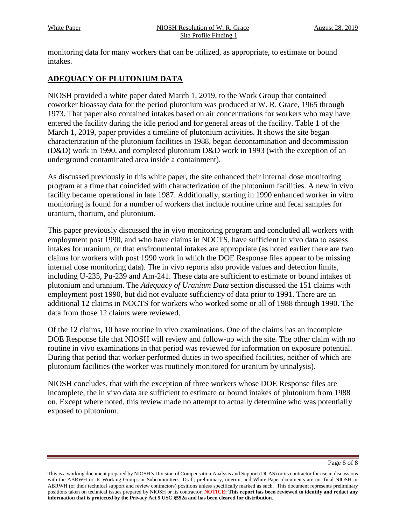monitoring data for many workers that can be utilized, as appropriate, to estimate or bound intakes.

### **ADEQUACY OF PLUTONIUM DATA**

NIOSH provided a white paper dated March 1, 2019, to the Work Group that contained coworker bioassay data for the period plutonium was produced at W. R. Grace, 1965 through 1973. That paper also contained intakes based on air concentrations for workers who may have entered the facility during the idle period and for general areas of the facility. Table 1 of the March 1, 2019, paper provides a timeline of plutonium activities. It shows the site began characterization of the plutonium facilities in 1988, began decontamination and decommission (D&D) work in 1990, and completed plutonium D&D work in 1993 (with the exception of an underground contaminated area inside a containment).

As discussed previously in this white paper, the site enhanced their internal dose monitoring program at a time that coincided with characterization of the plutonium facilities. A new in vivo facility became operational in late 1987. Additionally, starting in 1990 enhanced worker in vitro monitoring is found for a number of workers that include routine urine and fecal samples for uranium, thorium, and plutonium.

This paper previously discussed the in vivo monitoring program and concluded all workers with employment post 1990, and who have claims in NOCTS, have sufficient in vivo data to assess intakes for uranium, or that environmental intakes are appropriate (as noted earlier there are two claims for workers with post 1990 work in which the DOE Response files appear to be missing internal dose monitoring data). The in vivo reports also provide values and detection limits, including U-235, Pu-239 and Am-241. These data are sufficient to estimate or bound intakes of plutonium and uranium. The *Adequacy of Uranium Data* section discussed the 151 claims with employment post 1990, but did not evaluate sufficiency of data prior to 1991. There are an additional 12 claims in NOCTS for workers who worked some or all of 1988 through 1990. The data from those 12 claims were reviewed.

Of the 12 claims, 10 have routine in vivo examinations. One of the claims has an incomplete DOE Response file that NIOSH will review and follow-up with the site. The other claim with no routine in vivo examinations in that period was reviewed for information on exposure potential. During that period that worker performed duties in two specified facilities, neither of which are plutonium facilities (the worker was routinely monitored for uranium by urinalysis).

NIOSH concludes, that with the exception of three workers whose DOE Response files are incomplete, the in vivo data are sufficient to estimate or bound intakes of plutonium from 1988 on. Except where noted, this review made no attempt to actually determine who was potentially exposed to plutonium.

This is a working document prepared by NIOSH's Division of Compensation Analysis and Support (DCAS) or its contractor for use in discussions with the ABRWH or its Working Groups or Subcommittees. Draft, preliminary, interim, and White Paper documents are not final NIOSH or ABRWH (or their technical support and review contractors) positions unless specifically marked as such. This document represents preliminary positions taken on technical issues prepared by NIOSH or its contractor. **NOTICE: This report has been reviewed to identify and redact any information that is protected by the Privacy Act 5 USC §552a and has been cleared for distribution**.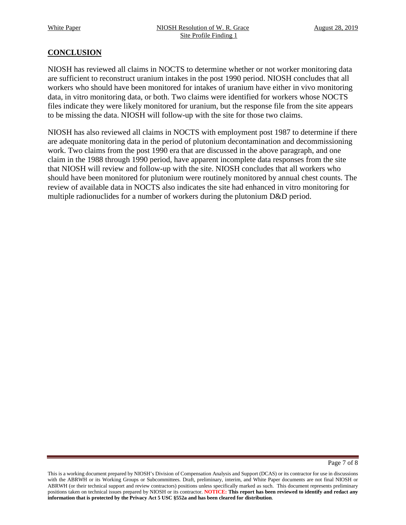#### **CONCLUSION**

NIOSH has reviewed all claims in NOCTS to determine whether or not worker monitoring data are sufficient to reconstruct uranium intakes in the post 1990 period. NIOSH concludes that all workers who should have been monitored for intakes of uranium have either in vivo monitoring data, in vitro monitoring data, or both. Two claims were identified for workers whose NOCTS files indicate they were likely monitored for uranium, but the response file from the site appears to be missing the data. NIOSH will follow-up with the site for those two claims.

NIOSH has also reviewed all claims in NOCTS with employment post 1987 to determine if there are adequate monitoring data in the period of plutonium decontamination and decommissioning work. Two claims from the post 1990 era that are discussed in the above paragraph, and one claim in the 1988 through 1990 period, have apparent incomplete data responses from the site that NIOSH will review and follow-up with the site. NIOSH concludes that all workers who should have been monitored for plutonium were routinely monitored by annual chest counts. The review of available data in NOCTS also indicates the site had enhanced in vitro monitoring for multiple radionuclides for a number of workers during the plutonium D&D period.

Page 7 of 8

This is a working document prepared by NIOSH's Division of Compensation Analysis and Support (DCAS) or its contractor for use in discussions with the ABRWH or its Working Groups or Subcommittees. Draft, preliminary, interim, and White Paper documents are not final NIOSH or ABRWH (or their technical support and review contractors) positions unless specifically marked as such. This document represents preliminary positions taken on technical issues prepared by NIOSH or its contractor. **NOTICE: This report has been reviewed to identify and redact any information that is protected by the Privacy Act 5 USC §552a and has been cleared for distribution**.